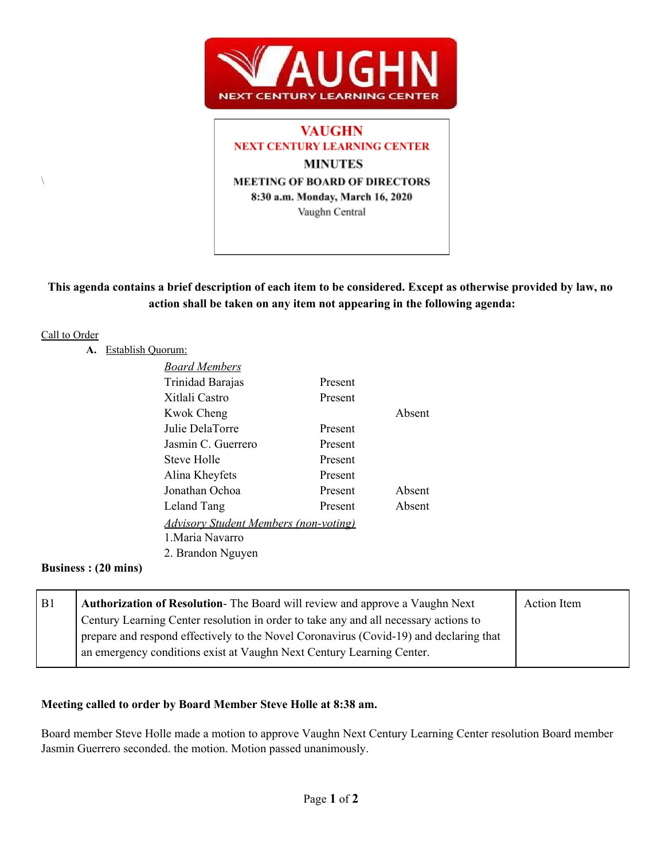

# **VAUGHN NEXT CENTURY LEARNING CENTER MINUTES MEETING OF BOARD OF DIRECTORS** 8:30 a.m. Monday, March 16, 2020 Vaughn Central

# This agenda contains a brief description of each item to be considered. Except as otherwise provided by law, no **action shall be taken on any item not appearing in the following agenda:**

#### Call to Order

 $\setminus$ 

### **A.** Establish Quorum:

| <u>Board Members</u>                         |         |        |
|----------------------------------------------|---------|--------|
| Trinidad Barajas                             | Present |        |
| Xitlali Castro                               | Present |        |
| Kwok Cheng                                   |         | Absent |
| Julie DelaTorre                              | Present |        |
| Jasmin C. Guerrero                           | Present |        |
| Steve Holle                                  | Present |        |
| Alina Kheyfets                               | Present |        |
| Jonathan Ochoa                               | Present | Absent |
| Leland Tang                                  | Present | Absent |
| <b>Advisory Student Members (non-voting)</b> |         |        |
| 1. Maria Navarro                             |         |        |
| 2. Brandon Nguyen                            |         |        |
|                                              |         |        |

#### **Business : (20 mins)**

| B <sub>1</sub> | <b>Authorization of Resolution-</b> The Board will review and approve a Vaughn Next    | Action Item |
|----------------|----------------------------------------------------------------------------------------|-------------|
|                | Century Learning Center resolution in order to take any and all necessary actions to   |             |
|                | prepare and respond effectively to the Novel Coronavirus (Covid-19) and declaring that |             |
|                | an emergency conditions exist at Vaughn Next Century Learning Center.                  |             |
|                |                                                                                        |             |

### **Meeting called to order by Board Member Steve Holle at 8:38 am.**

Board member Steve Holle made a motion to approve Vaughn Next Century Learning Center resolution Board member Jasmin Guerrero seconded. the motion. Motion passed unanimously.